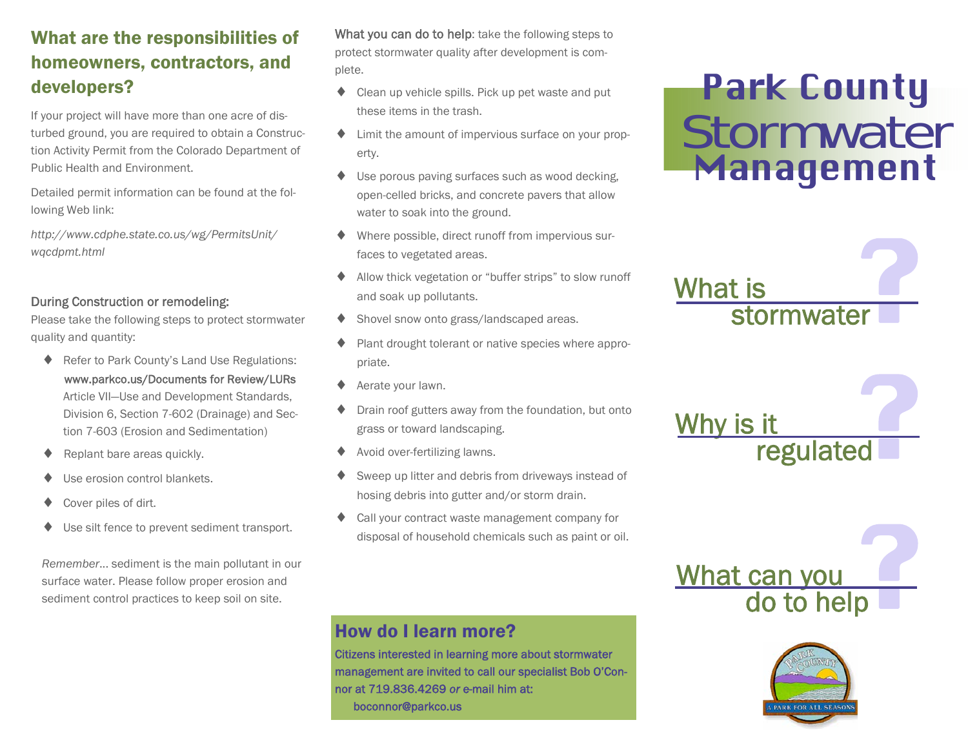# What are the responsibilities of homeowners, contractors, and developers?

If your project will have more than one acre of disturbed ground, you are required to obtain a Construction Activity Permit from the Colorado Department of Public Health and Environment.

Detailed permit information can be found at the following Web link:

*http://www.cdphe.state.co.us/wg/PermitsUnit/ wqcdpmt.html* 

#### During Construction or remodeling:

Please take the following steps to protect stormwater quality and quantity:

- ♦ Refer to Park County's Land Use Regulations: www.parkco.us/Documents for Review/LURs Article VII—Use and Development Standards, Division 6, Section 7-602 (Drainage) and Section 7-603 (Erosion and Sedimentation)
- Replant bare areas quickly.
- Use erosion control blankets.
- Cover piles of dirt.
- ♦ Use silt fence to prevent sediment transport.

*Remember*... sediment is the main pollutant in our surface water. Please follow proper erosion and sediment control practices to keep soil on site.

What you can do to help: take the following steps to protect stormwater quality after development is complete.

- $\triangle$  Clean up vehicle spills. Pick up pet waste and put these items in the trash.
- ♦ Limit the amount of impervious surface on your property.
- ♦ Use porous paving surfaces such as wood decking, open-celled bricks, and concrete pavers that allow water to soak into the ground.
- Where possible, direct runoff from impervious surfaces to vegetated areas.
- Allow thick vegetation or "buffer strips" to slow runoff and soak up pollutants.
- Shovel snow onto grass/landscaped areas.
- Plant drought tolerant or native species where appropriate.
- ◆ Aerate your lawn.
- Drain roof gutters away from the foundation, but onto grass or toward landscaping.
- Avoid over-fertilizing lawns.
- Sweep up litter and debris from driveways instead of hosing debris into gutter and/or storm drain.
- Call your contract waste management company for disposal of household chemicals such as paint or oil.

#### How do I learn more?

Citizens interested in learning more about stormwater management are invited to call our specialist Bob O'Connor at 719.836.4269 *or* e-mail him at: boconnor@parkco.us

# **Park County<br>Stormwater** Management